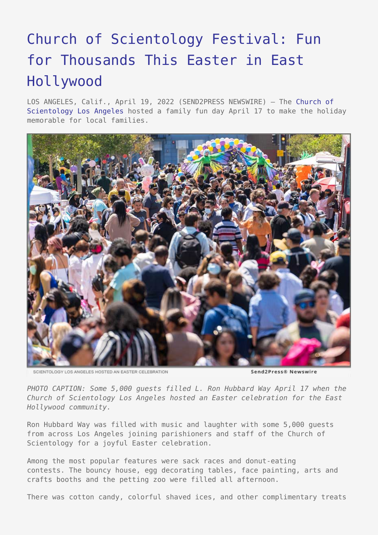## [Church of Scientology Festival: Fun](https://www.send2press.com/wire/church-of-scientology-festival-fun-for-thousands-this-easter-in-east-hollywood/) [for Thousands This Easter in East](https://www.send2press.com/wire/church-of-scientology-festival-fun-for-thousands-this-easter-in-east-hollywood/) [Hollywood](https://www.send2press.com/wire/church-of-scientology-festival-fun-for-thousands-this-easter-in-east-hollywood/)

LOS ANGELES, Calif., April 19, 2022 (SEND2PRESS NEWSWIRE) — The [Church of](https://www.scientology-losangeles.org/) [Scientology Los Angeles](https://www.scientology-losangeles.org/) hosted a family fun day April 17 to make the holiday memorable for local families.



SCIENTOLOGY LOS ANGELES HOSTED AN EASTER CELEBRATION

Send2Press® Newswire

*PHOTO CAPTION: Some 5,000 guests filled L. Ron Hubbard Way April 17 when the Church of Scientology Los Angeles hosted an Easter celebration for the East Hollywood community.*

Ron Hubbard Way was filled with music and laughter with some 5,000 guests from across Los Angeles joining parishioners and staff of the Church of Scientology for a joyful Easter celebration.

Among the most popular features were sack races and donut-eating contests. The bouncy house, egg decorating tables, face painting, arts and crafts booths and the petting zoo were filled all afternoon.

There was cotton candy, colorful shaved ices, and other complimentary treats